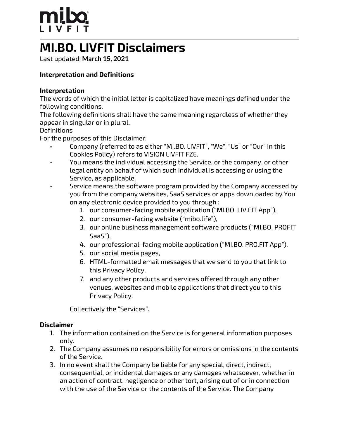# MI.BO. LIVFIT Disclaimers

Last updated: **March 15, 2021**

# Interpretation and Definitions

### Interpretation

The words of which the initial letter is capitalized have meanings defined under the following conditions.

The following definitions shall have the same meaning regardless of whether they appear in singular or in plural.

### Definitions

For the purposes of this Disclaimer:

- Company (referred to as either "MI.BO. LIVFIT", "We", "Us" or "Our" in this Cookies Policy) refers to VISION LIVFIT FZE.
- You means the individual accessing the Service, or the company, or other legal entity on behalf of which such individual is accessing or using the Service, as applicable.
- Service means the software program provided by the Company accessed by you from the company websites, SaaS services or apps downloaded by You on any electronic device provided to you through :
	- 1. our consumer-facing mobile application ("MI.BO. LIV.FIT App"),
	- 2. our consumer-facing website ("mibo.life"),
	- 3. our online business management software products ("MI.BO. PROFIT SaaS"),
	- 4. our professional-facing mobile application ("MI.BO. PRO.FIT App"),
	- 5. our social media pages,
	- 6. HTML-formatted email messages that we send to you that link to this Privacy Policy,
	- 7. and any other products and services offered through any other venues, websites and mobile applications that direct you to this Privacy Policy.

Collectively the "Services".

#### Disclaimer

- 1. The information contained on the Service is for general information purposes only.
- 2. The Company assumes no responsibility for errors or omissions in the contents of the Service.
- 3. In no event shall the Company be liable for any special, direct, indirect, consequential, or incidental damages or any damages whatsoever, whether in an action of contract, negligence or other tort, arising out of or in connection with the use of the Service or the contents of the Service. The Company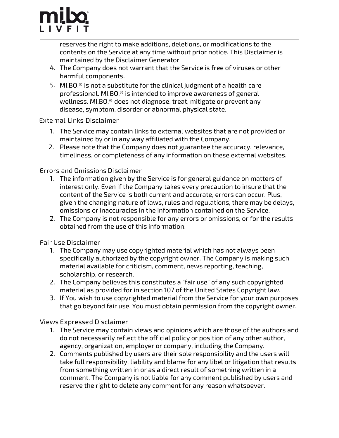reserves the right to make additions, deletions, or modifications to the contents on the Service at any time without prior notice. This Disclaimer is maintained by the Disclaimer Generator

- 4. The Company does not warrant that the Service is free of viruses or other harmful components.
- 5.  $MLBO.®$  is not a substitute for the clinical judgment of a health care professional. MI.BO.® is intended to improve awareness of general wellness. MI.BO.® does not diagnose, treat, mitigate or prevent any disease, symptom, disorder or abnormal physical state.

External Links Disclaimer

- 1. The Service may contain links to external websites that are not provided or maintained by or in any way affiliated with the Company.
- 2. Please note that the Company does not guarantee the accuracy, relevance, timeliness, or completeness of any information on these external websites.

Errors and Omissions Disclai mer

- 1. The information given by the Service is for general guidance on matters of interest only. Even if the Company takes every precaution to insure that the content of the Service is both current and accurate, errors can occur. Plus, given the changing nature of laws, rules and regulations, there may be delays, omissions or inaccuracies in the information contained on the Service.
- 2. The Company is not responsible for any errors or omissions, or for the results obtained from the use of this information.

Fair Use Disclai mer

- 1. The Company may use copyrighted material which has not always been specifically authorized by the copyright owner. The Company is making such material available for criticism, comment, news reporting, teaching, scholarship, or research.
- 2. The Company believes this constitutes a "fair use" of any such copyrighted material as provided for in section 107 of the United States Copyright law.
- 3. If You wish to use copyrighted material from the Service for your own purposes that go beyond fair use, You must obtain permission from the copyright owner.

Views Expressed Disclaimer

- 1. The Service may contain views and opinions which are those of the authors and do not necessarily reflect the official policy or position of any other author, agency, organization, employer or company, including the Company.
- 2. Comments published by users are their sole responsibility and the users will take full responsibility, liability and blame for any libel or litigation that results from something written in or as a direct result of something written in a comment. The Company is not liable for any comment published by users and reserve the right to delete any comment for any reason whatsoever.